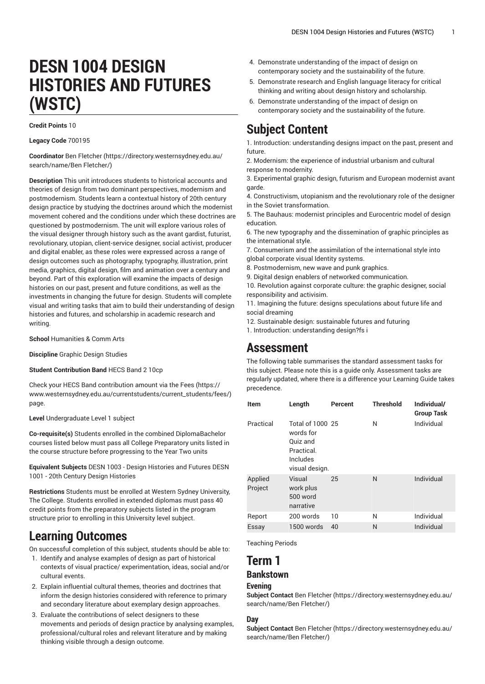# **DESN 1004 DESIGN HISTORIES AND FUTURES (WSTC)**

**Credit Points** 10

**Legacy Code** 700195

**Coordinator** [Ben Fletcher \(https://directory.westernsydney.edu.au/](https://directory.westernsydney.edu.au/search/name/Ben Fletcher/) [search/name/Ben](https://directory.westernsydney.edu.au/search/name/Ben Fletcher/) Fletcher/)

**Description** This unit introduces students to historical accounts and theories of design from two dominant perspectives, modernism and postmodernism. Students learn a contextual history of 20th century design practice by studying the doctrines around which the modernist movement cohered and the conditions under which these doctrines are questioned by postmodernism. The unit will explore various roles of the visual designer through history such as the avant gardist, futurist, revolutionary, utopian, client-service designer, social activist, producer and digital enabler, as these roles were expressed across a range of design outcomes such as photography, typography, illustration, print media, graphics, digital design, film and animation over a century and beyond. Part of this exploration will examine the impacts of design histories on our past, present and future conditions, as well as the investments in changing the future for design. Students will complete visual and writing tasks that aim to build their understanding of design histories and futures, and scholarship in academic research and writing.

**School** Humanities & Comm Arts

**Discipline** Graphic Design Studies

**Student Contribution Band** HECS Band 2 10cp

Check your HECS Band contribution amount via the [Fees \(https://](https://www.westernsydney.edu.au/currentstudents/current_students/fees/) [www.westernsydney.edu.au/currentstudents/current\\_students/fees/\)](https://www.westernsydney.edu.au/currentstudents/current_students/fees/) page.

**Level** Undergraduate Level 1 subject

**Co-requisite(s)** Students enrolled in the combined DiplomaBachelor courses listed below must pass all College Preparatory units listed in the course structure before progressing to the Year Two units

**Equivalent Subjects** [DESN 1003](/search/?P=DESN%201003) - Design Histories and Futures DESN 1001 - 20th Century Design Histories

**Restrictions** Students must be enrolled at Western Sydney University, The College. Students enrolled in extended diplomas must pass 40 credit points from the preparatory subjects listed in the program structure prior to enrolling in this University level subject.

# **Learning Outcomes**

On successful completion of this subject, students should be able to:

- 1. Identify and analyse examples of design as part of historical contexts of visual practice/ experimentation, ideas, social and/or cultural events.
- 2. Explain influential cultural themes, theories and doctrines that inform the design histories considered with reference to primary and secondary literature about exemplary design approaches.
- 3. Evaluate the contributions of select designers to these movements and periods of design practice by analysing examples, professional/cultural roles and relevant literature and by making thinking visible through a design outcome.
- 4. Demonstrate understanding of the impact of design on contemporary society and the sustainability of the future.
- 5. Demonstrate research and English language literacy for critical thinking and writing about design history and scholarship.
- 6. Demonstrate understanding of the impact of design on contemporary society and the sustainability of the future.

# **Subject Content**

1. Introduction: understanding designs impact on the past, present and future.

2. Modernism: the experience of industrial urbanism and cultural response to modernity.

3. Experimental graphic design, futurism and European modernist avant garde.

4. Constructivism, utopianism and the revolutionary role of the designer in the Soviet transformation.

5. The Bauhaus: modernist principles and Eurocentric model of design education.

6. The new typography and the dissemination of graphic principles as the international style.

7. Consumerism and the assimilation of the international style into global corporate visual Identity systems.

8. Postmodernism, new wave and punk graphics.

9. Digital design enablers of networked communication.

10. Revolution against corporate culture: the graphic designer, social responsibility and activisim.

11. Imagining the future: designs speculations about future life and social dreaming

12. Sustainable design: sustainable futures and futuring

1. Introduction: understanding design?fs i

# **Assessment**

The following table summarises the standard assessment tasks for this subject. Please note this is a guide only. Assessment tasks are regularly updated, where there is a difference your Learning Guide takes precedence.

| Item               | Length                                                                                | Percent | <b>Threshold</b> | Individual/<br><b>Group Task</b> |
|--------------------|---------------------------------------------------------------------------------------|---------|------------------|----------------------------------|
| Practical          | Total of 1000 25<br>words for<br>Quiz and<br>Practical.<br>Includes<br>visual design. |         | N                | Individual                       |
| Applied<br>Project | Visual<br>work plus<br>500 word<br>narrative                                          | 25      | N                | Individual                       |
| Report             | 200 words                                                                             | 10      | N                | Individual                       |
| Essay              | 1500 words                                                                            | 40      | N                | Individual                       |

Teaching Periods

# **Term 1**

### **Bankstown**

#### **Evening**

**Subject Contact** [Ben Fletcher](https://directory.westernsydney.edu.au/search/name/Ben Fletcher/) ([https://directory.westernsydney.edu.au/](https://directory.westernsydney.edu.au/search/name/Ben Fletcher/) [search/name/Ben](https://directory.westernsydney.edu.au/search/name/Ben Fletcher/) Fletcher/)

#### **Day**

**Subject Contact** [Ben Fletcher](https://directory.westernsydney.edu.au/search/name/Ben Fletcher/) ([https://directory.westernsydney.edu.au/](https://directory.westernsydney.edu.au/search/name/Ben Fletcher/) [search/name/Ben](https://directory.westernsydney.edu.au/search/name/Ben Fletcher/) Fletcher/)